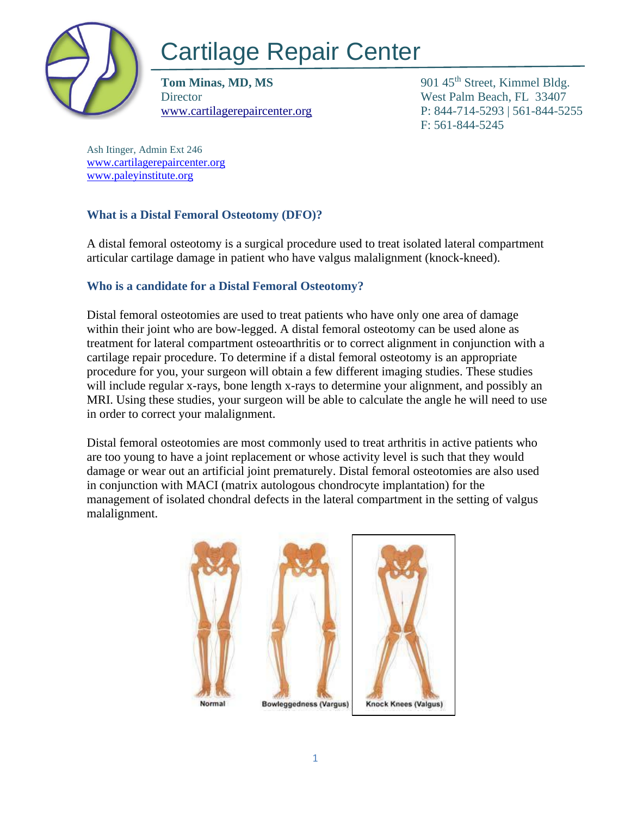

# Cartilage Repair Center

**Tom Minas, MD, MS** 901 45<sup>th</sup> Street, Kimmel Bldg. Director West Palm Beach, FL 33407

[www.cartilagerepaircenter.org](http://www.cartilagerepaircenter.org/) P: 844-714-5293 | 561-844-5255 F: 561-844-5245

Ash Itinger, Admin Ext 246 [www.cartilagerepaircenter.org](http://www.cartilagerepaircenter.org/) [www.paleyinstitute.org](http://www.paleyinstitute.org/)

## **What is a Distal Femoral Osteotomy (DFO)?**

A distal femoral osteotomy is a surgical procedure used to treat isolated lateral compartment articular cartilage damage in patient who have valgus malalignment (knock-kneed).

## **Who is a candidate for a Distal Femoral Osteotomy?**

Distal femoral osteotomies are used to treat patients who have only one area of damage within their joint who are bow-legged. A distal femoral osteotomy can be used alone as treatment for lateral compartment osteoarthritis or to correct alignment in conjunction with a cartilage repair procedure. To determine if a distal femoral osteotomy is an appropriate procedure for you, your surgeon will obtain a few different imaging studies. These studies will include regular x-rays, bone length x-rays to determine your alignment, and possibly an MRI. Using these studies, your surgeon will be able to calculate the angle he will need to use in order to correct your malalignment.

Distal femoral osteotomies are most commonly used to treat arthritis in active patients who are too young to have a joint replacement or whose activity level is such that they would damage or wear out an artificial joint prematurely. Distal femoral osteotomies are also used in conjunction with MACI (matrix autologous chondrocyte implantation) for the management of isolated chondral defects in the lateral compartment in the setting of valgus malalignment.

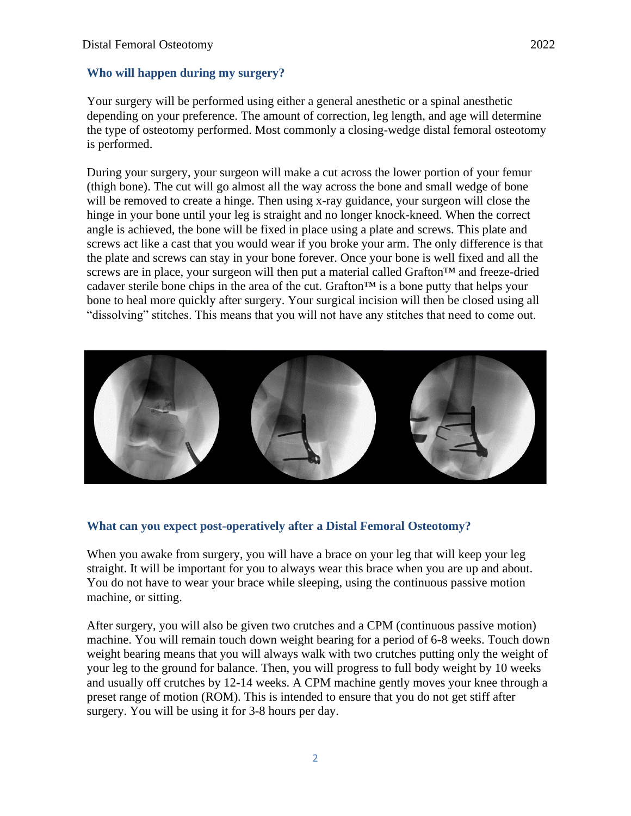#### **Who will happen during my surgery?**

Your surgery will be performed using either a general anesthetic or a spinal anesthetic depending on your preference. The amount of correction, leg length, and age will determine the type of osteotomy performed. Most commonly a closing-wedge distal femoral osteotomy is performed.

During your surgery, your surgeon will make a cut across the lower portion of your femur (thigh bone). The cut will go almost all the way across the bone and small wedge of bone will be removed to create a hinge. Then using x-ray guidance, your surgeon will close the hinge in your bone until your leg is straight and no longer knock-kneed. When the correct angle is achieved, the bone will be fixed in place using a plate and screws. This plate and screws act like a cast that you would wear if you broke your arm. The only difference is that the plate and screws can stay in your bone forever. Once your bone is well fixed and all the screws are in place, your surgeon will then put a material called Grafton<sup>™</sup> and freeze-dried cadaver sterile bone chips in the area of the cut. Grafton<sup> $TM$ </sup> is a bone putty that helps your bone to heal more quickly after surgery. Your surgical incision will then be closed using all "dissolving" stitches. This means that you will not have any stitches that need to come out.



#### **What can you expect post-operatively after a Distal Femoral Osteotomy?**

When you awake from surgery, you will have a brace on your leg that will keep your leg straight. It will be important for you to always wear this brace when you are up and about. You do not have to wear your brace while sleeping, using the continuous passive motion machine, or sitting.

After surgery, you will also be given two crutches and a CPM (continuous passive motion) machine. You will remain touch down weight bearing for a period of 6-8 weeks. Touch down weight bearing means that you will always walk with two crutches putting only the weight of your leg to the ground for balance. Then, you will progress to full body weight by 10 weeks and usually off crutches by 12-14 weeks. A CPM machine gently moves your knee through a preset range of motion (ROM). This is intended to ensure that you do not get stiff after surgery. You will be using it for 3-8 hours per day.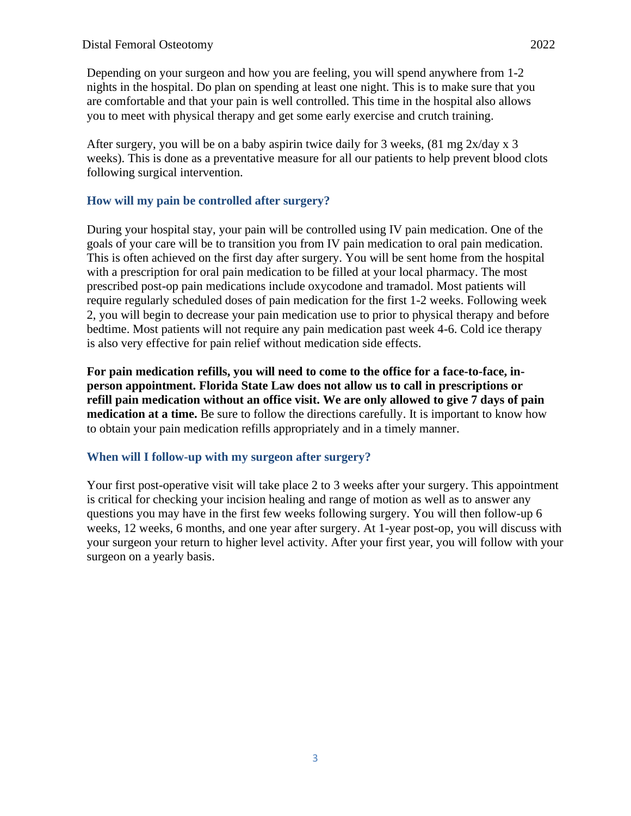Depending on your surgeon and how you are feeling, you will spend anywhere from 1-2 nights in the hospital. Do plan on spending at least one night. This is to make sure that you are comfortable and that your pain is well controlled. This time in the hospital also allows you to meet with physical therapy and get some early exercise and crutch training.

After surgery, you will be on a baby aspirin twice daily for 3 weeks,  $(81 \text{ mg } 2x/\text{day } x \text{ 3})$ weeks). This is done as a preventative measure for all our patients to help prevent blood clots following surgical intervention.

## **How will my pain be controlled after surgery?**

During your hospital stay, your pain will be controlled using IV pain medication. One of the goals of your care will be to transition you from IV pain medication to oral pain medication. This is often achieved on the first day after surgery. You will be sent home from the hospital with a prescription for oral pain medication to be filled at your local pharmacy. The most prescribed post-op pain medications include oxycodone and tramadol. Most patients will require regularly scheduled doses of pain medication for the first 1-2 weeks. Following week 2, you will begin to decrease your pain medication use to prior to physical therapy and before bedtime. Most patients will not require any pain medication past week 4-6. Cold ice therapy is also very effective for pain relief without medication side effects.

**For pain medication refills, you will need to come to the office for a face-to-face, inperson appointment. Florida State Law does not allow us to call in prescriptions or refill pain medication without an office visit. We are only allowed to give 7 days of pain medication at a time.** Be sure to follow the directions carefully. It is important to know how to obtain your pain medication refills appropriately and in a timely manner.

## **When will I follow-up with my surgeon after surgery?**

Your first post-operative visit will take place 2 to 3 weeks after your surgery. This appointment is critical for checking your incision healing and range of motion as well as to answer any questions you may have in the first few weeks following surgery. You will then follow-up 6 weeks, 12 weeks, 6 months, and one year after surgery. At 1-year post-op, you will discuss with your surgeon your return to higher level activity. After your first year, you will follow with your surgeon on a yearly basis.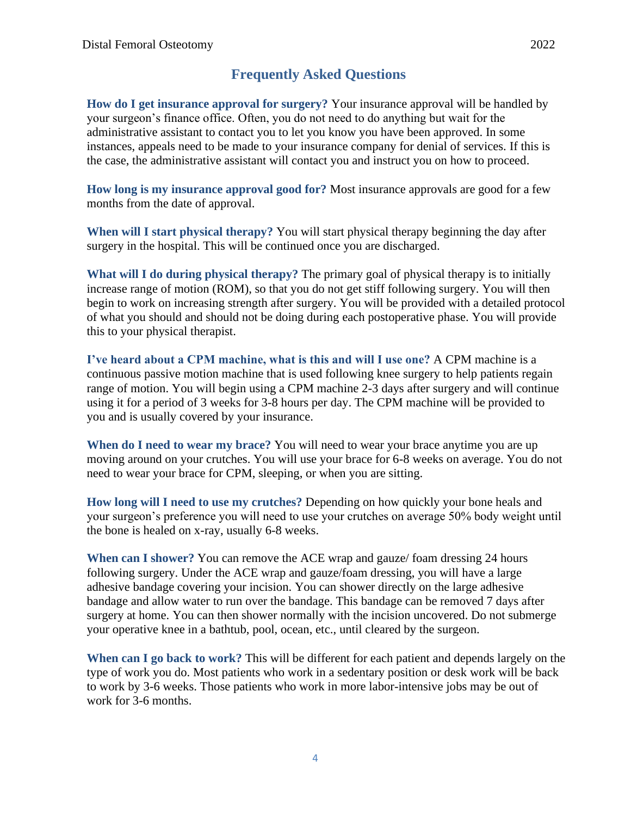# **Frequently Asked Questions**

**How do I get insurance approval for surgery?** Your insurance approval will be handled by your surgeon's finance office. Often, you do not need to do anything but wait for the administrative assistant to contact you to let you know you have been approved. In some instances, appeals need to be made to your insurance company for denial of services. If this is the case, the administrative assistant will contact you and instruct you on how to proceed.

**How long is my insurance approval good for?** Most insurance approvals are good for a few months from the date of approval.

**When will I start physical therapy?** You will start physical therapy beginning the day after surgery in the hospital. This will be continued once you are discharged.

**What will I do during physical therapy?** The primary goal of physical therapy is to initially increase range of motion (ROM), so that you do not get stiff following surgery. You will then begin to work on increasing strength after surgery. You will be provided with a detailed protocol of what you should and should not be doing during each postoperative phase. You will provide this to your physical therapist.

**I've heard about a CPM machine, what is this and will I use one?** A CPM machine is a continuous passive motion machine that is used following knee surgery to help patients regain range of motion. You will begin using a CPM machine 2-3 days after surgery and will continue using it for a period of 3 weeks for 3-8 hours per day. The CPM machine will be provided to you and is usually covered by your insurance.

**When do I need to wear my brace?** You will need to wear your brace anytime you are up moving around on your crutches. You will use your brace for 6-8 weeks on average. You do not need to wear your brace for CPM, sleeping, or when you are sitting.

**How long will I need to use my crutches?** Depending on how quickly your bone heals and your surgeon's preference you will need to use your crutches on average 50% body weight until the bone is healed on x-ray, usually 6-8 weeks.

**When can I shower?** You can remove the ACE wrap and gauze/ foam dressing 24 hours following surgery. Under the ACE wrap and gauze/foam dressing, you will have a large adhesive bandage covering your incision. You can shower directly on the large adhesive bandage and allow water to run over the bandage. This bandage can be removed 7 days after surgery at home. You can then shower normally with the incision uncovered. Do not submerge your operative knee in a bathtub, pool, ocean, etc., until cleared by the surgeon.

**When can I go back to work?** This will be different for each patient and depends largely on the type of work you do. Most patients who work in a sedentary position or desk work will be back to work by 3-6 weeks. Those patients who work in more labor-intensive jobs may be out of work for 3-6 months.